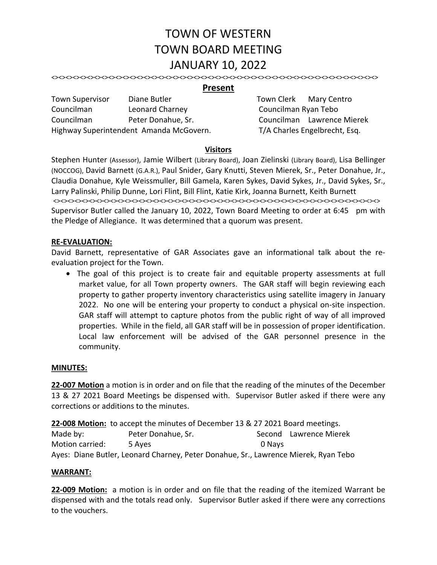# TOWN OF WESTERN TOWN BOARD MEETING JANUARY 10, 2022

<><><><><><><><><><><><><><><><><><><><><><><><><><><><><><><><><><><><><><><><><><><><><><>

## **Present**

Town Supervisor Diane Butler Town Clerk Mary Centro Councilman Leonard Charney Councilman Ryan Tebo Councilman Peter Donahue, Sr. Councilman Lawrence Mierek Highway Superintendent Amanda McGovern. T/A Charles Engelbrecht, Esq.

#### **Visitors**

Stephen Hunter (Assessor), Jamie Wilbert (Library Board), Joan Zielinski (Library Board), Lisa Bellinger (NOCCOG), David Barnett (G.A.R.), Paul Snider, Gary Knutti, Steven Mierek, Sr., Peter Donahue, Jr., Claudia Donahue, Kyle Weissmuller, Bill Gamela, Karen Sykes, David Sykes, Jr., David Sykes, Sr., Larry Palinski, Philip Dunne, Lori Flint, Bill Flint, Katie Kirk, Joanna Burnett, Keith Burnett <><><><><><><><><><><><><><><><><><><><><><><><><><><><><><><><><><><><><><><><><><><><><><> Supervisor Butler called the January 10, 2022, Town Board Meeting to order at 6:45 pm with the Pledge of Allegiance. It was determined that a quorum was present.

#### **RE‐EVALUATION:**

David Barnett, representative of GAR Associates gave an informational talk about the reevaluation project for the Town.

• The goal of this project is to create fair and equitable property assessments at full market value, for all Town property owners. The GAR staff will begin reviewing each property to gather property inventory characteristics using satellite imagery in January 2022. No one will be entering your property to conduct a physical on-site inspection. GAR staff will attempt to capture photos from the public right of way of all improved properties. While in the field, all GAR staff will be in possession of proper identification. Local law enforcement will be advised of the GAR personnel presence in the community.

#### **MINUTES:**

**22‐007 Motion** a motion is in order and on file that the reading of the minutes of the December 13 & 27 2021 Board Meetings be dispensed with. Supervisor Butler asked if there were any corrections or additions to the minutes.

**22‐008 Motion:** to accept the minutes of December 13 & 27 2021 Board meetings.

Made by: The Peter Donahue, Sr. The Second Lawrence Mierek Motion carried:  $\overline{\phantom{0}}$  5 Ayes  $\overline{\phantom{0}}$  0 Nays Ayes: Diane Butler, Leonard Charney, Peter Donahue, Sr., Lawrence Mierek, Ryan Tebo

#### **WARRANT:**

**22‐009 Motion:** a motion is in order and on file that the reading of the itemized Warrant be dispensed with and the totals read only. Supervisor Butler asked if there were any corrections to the vouchers.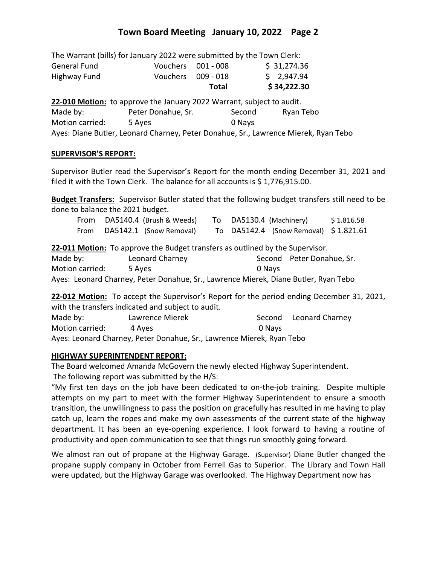# **Town Board Meeting January 10, 2022 Page 2**

|                     | The Warrant (bills) for January 2022 were submitted by the Town Clerk: |                    |             |
|---------------------|------------------------------------------------------------------------|--------------------|-------------|
| <b>General Fund</b> |                                                                        | Vouchers 001 - 008 | \$31,274.36 |
| Highway Fund        | Vouchers 009 - 018                                                     |                    | \$2,947.94  |
|                     |                                                                        | <b>Total</b>       | \$34,222.30 |
|                     | 22-010 Motion: to approve the January 2022 Warrant, subject to audit.  |                    |             |
| Made by:            | Peter Donahue, Sr.                                                     | Second             | Ryan Tebo   |
| Motion carried:     | 5 Ayes                                                                 | 0 Nays             |             |

Ayes: Diane Butler, Leonard Charney, Peter Donahue, Sr., Lawrence Mierek, Ryan Tebo

#### **SUPERVISOR'S REPORT:**

Supervisor Butler read the Supervisor's Report for the month ending December 31, 2021 and filed it with the Town Clerk. The balance for all accounts is \$1,776,915.00.

**Budget Transfers:** Supervisor Butler stated that the following budget transfers still need to be done to balance the 2021 budget.

| From<br>From                                                                  | DA5140.4 (Brush & Weeds)<br>DA5142.1 (Snow Removal) |  | To DA5130.4 (Machinery)<br>\$1.816.58<br>To DA5142.4 (Snow Removal) \$1.821.61      |  |  |
|-------------------------------------------------------------------------------|-----------------------------------------------------|--|-------------------------------------------------------------------------------------|--|--|
| 22-011 Motion: To approve the Budget transfers as outlined by the Supervisor. |                                                     |  |                                                                                     |  |  |
| Made by:                                                                      | Leonard Charney                                     |  | Second Peter Donahue, Sr.                                                           |  |  |
| Motion carried:                                                               | 5 Ayes                                              |  | 0 Nays                                                                              |  |  |
|                                                                               |                                                     |  | Ayes: Leonard Charney, Peter Donahue, Sr., Lawrence Mierek, Diane Butler, Ryan Tebo |  |  |

**22‐012 Motion:** To accept the Supervisor's Report for the period ending December 31, 2021, with the transfers indicated and subject to audit.

| Made by:                                                              | Lawrence Mierek |        | Second Leonard Charney |  |  |  |
|-----------------------------------------------------------------------|-----------------|--------|------------------------|--|--|--|
| Motion carried:                                                       | 4 Aves          | 0 Navs |                        |  |  |  |
| Ayes: Leonard Charney, Peter Donahue, Sr., Lawrence Mierek, Ryan Tebo |                 |        |                        |  |  |  |

## **HIGHWAY SUPERINTENDENT REPORT:**

The Board welcomed Amanda McGovern the newly elected Highway Superintendent. The following report was submitted by the H/S:

"My first ten days on the job have been dedicated to on‐the‐job training. Despite multiple attempts on my part to meet with the former Highway Superintendent to ensure a smooth transition, the unwillingness to pass the position on gracefully has resulted in me having to play catch up, learn the ropes and make my own assessments of the current state of the highway department. It has been an eye-opening experience. I look forward to having a routine of productivity and open communication to see that things run smoothly going forward.

We almost ran out of propane at the Highway Garage. (Supervisor) Diane Butler changed the propane supply company in October from Ferrell Gas to Superior. The Library and Town Hall were updated, but the Highway Garage was overlooked. The Highway Department now has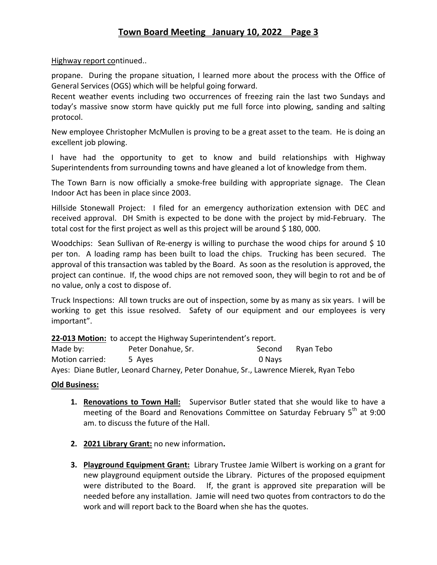# Highway report continued..

propane. During the propane situation, I learned more about the process with the Office of General Services (OGS) which will be helpful going forward.

Recent weather events including two occurrences of freezing rain the last two Sundays and today's massive snow storm have quickly put me full force into plowing, sanding and salting protocol.

New employee Christopher McMullen is proving to be a great asset to the team. He is doing an excellent job plowing.

I have had the opportunity to get to know and build relationships with Highway Superintendents from surrounding towns and have gleaned a lot of knowledge from them.

The Town Barn is now officially a smoke-free building with appropriate signage. The Clean Indoor Act has been in place since 2003.

Hillside Stonewall Project: I filed for an emergency authorization extension with DEC and received approval. DH Smith is expected to be done with the project by mid-February. The total cost for the first project as well as this project will be around  $$180,000$ .

Woodchips: Sean Sullivan of Re-energy is willing to purchase the wood chips for around \$ 10 per ton. A loading ramp has been built to load the chips. Trucking has been secured. The approval of this transaction was tabled by the Board. As soon as the resolution is approved, the project can continue. If, the wood chips are not removed soon, they will begin to rot and be of no value, only a cost to dispose of.

Truck Inspections: All town trucks are out of inspection, some by as many as six years. I will be working to get this issue resolved. Safety of our equipment and our employees is very important".

**22‐013 Motion:** to accept the Highway Superintendent's report.

| Made by:        | Peter Donahue, Sr.                                                                  | Second | Rvan Tebo |
|-----------------|-------------------------------------------------------------------------------------|--------|-----------|
| Motion carried: | 5 Aves                                                                              | 0 Navs |           |
|                 | Ayes: Diane Butler, Leonard Charney, Peter Donahue, Sr., Lawrence Mierek, Ryan Tebo |        |           |

## **Old Business:**

- **1. Renovations to Town Hall:** Supervisor Butler stated that she would like to have a meeting of the Board and Renovations Committee on Saturday February 5<sup>th</sup> at 9:00 am. to discuss the future of the Hall.
- **2. 2021 Library Grant:** no new information**.**
- **3. Playground Equipment Grant:** Library Trustee Jamie Wilbert is working on a grant for new playground equipment outside the Library. Pictures of the proposed equipment were distributed to the Board. If, the grant is approved site preparation will be needed before any installation. Jamie will need two quotes from contractors to do the work and will report back to the Board when she has the quotes.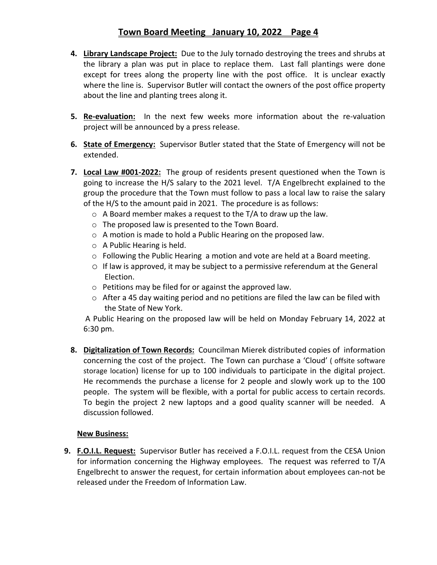# **Town Board Meeting January 10, 2022 Page 4**

- **4. Library Landscape Project:** Due to the July tornado destroying the trees and shrubs at the library a plan was put in place to replace them. Last fall plantings were done except for trees along the property line with the post office. It is unclear exactly where the line is. Supervisor Butler will contact the owners of the post office property about the line and planting trees along it.
- **5. Re-evaluation:** In the next few weeks more information about the re-valuation project will be announced by a press release.
- **6. State of Emergency:** Supervisor Butler stated that the State of Emergency will not be extended.
- **7. Local Law #001‐2022:** The group of residents present questioned when the Town is going to increase the H/S salary to the 2021 level. T/A Engelbrecht explained to the group the procedure that the Town must follow to pass a local law to raise the salary of the H/S to the amount paid in 2021. The procedure is as follows:
	- $\circ$  A Board member makes a request to the T/A to draw up the law.
	- o The proposed law is presented to the Town Board.
	- o A motion is made to hold a Public Hearing on the proposed law.
	- o A Public Hearing is held.
	- $\circ$  Following the Public Hearing a motion and vote are held at a Board meeting.
	- o If law is approved, it may be subject to a permissive referendum at the General Election.
	- o Petitions may be filed for or against the approved law.
	- o After a 45 day waiting period and no petitions are filed the law can be filed with the State of New York.

 A Public Hearing on the proposed law will be held on Monday February 14, 2022 at 6:30 pm.

**8. Digitalization of Town Records:** Councilman Mierek distributed copies of information concerning the cost of the project. The Town can purchase a 'Cloud' ( offsite software storage location) license for up to 100 individuals to participate in the digital project. He recommends the purchase a license for 2 people and slowly work up to the 100 people. The system will be flexible, with a portal for public access to certain records. To begin the project 2 new laptops and a good quality scanner will be needed. A discussion followed.

## **New Business:**

**9. F.O.I.L. Request:** Supervisor Butler has received a F.O.I.L. request from the CESA Union for information concerning the Highway employees. The request was referred to T/A Engelbrecht to answer the request, for certain information about employees can‐not be released under the Freedom of Information Law.